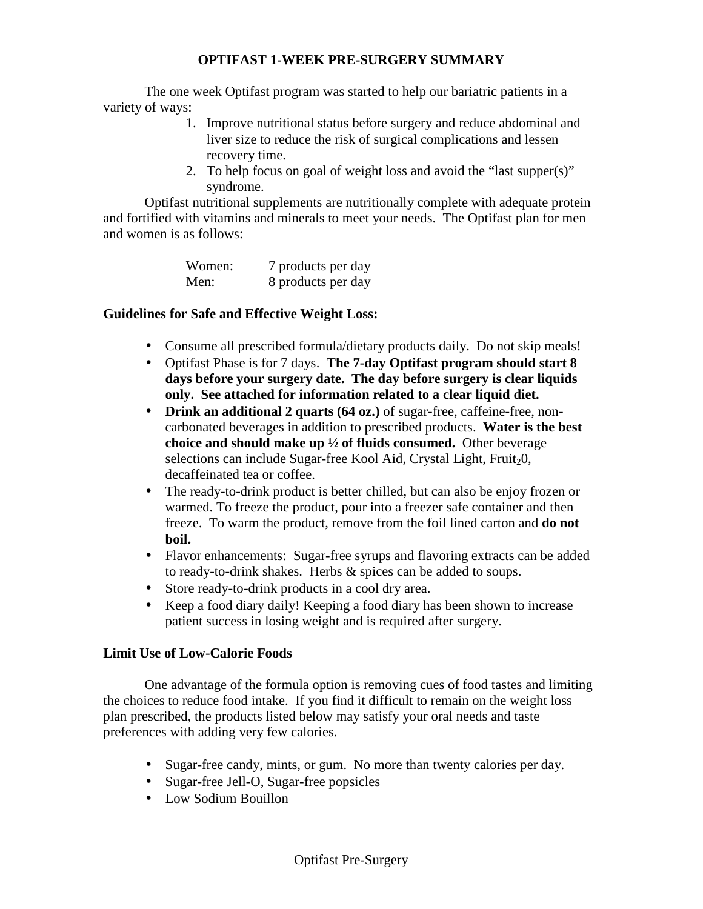### **OPTIFAST 1-WEEK PRE-SURGERY SUMMARY**

 The one week Optifast program was started to help our bariatric patients in a variety of ways:

- 1. Improve nutritional status before surgery and reduce abdominal and liver size to reduce the risk of surgical complications and lessen recovery time.
- 2. To help focus on goal of weight loss and avoid the "last supper(s)" syndrome.

Optifast nutritional supplements are nutritionally complete with adequate protein and fortified with vitamins and minerals to meet your needs. The Optifast plan for men and women is as follows:

| Women: | 7 products per day |
|--------|--------------------|
| Men:   | 8 products per day |

### **Guidelines for Safe and Effective Weight Loss:**

- Consume all prescribed formula/dietary products daily. Do not skip meals!
- Optifast Phase is for 7 days. **The 7-day Optifast program should start 8 days before your surgery date. The day before surgery is clear liquids only. See attached for information related to a clear liquid diet.**
- **Drink an additional 2 quarts (64 oz.)** of sugar-free, caffeine-free, noncarbonated beverages in addition to prescribed products. **Water is the best choice and should make up ½ of fluids consumed.** Other beverage selections can include Sugar-free Kool Aid, Crystal Light, Fruit<sub>2</sub>0, decaffeinated tea or coffee.
- The ready-to-drink product is better chilled, but can also be enjoy frozen or warmed. To freeze the product, pour into a freezer safe container and then freeze. To warm the product, remove from the foil lined carton and **do not boil.**
- Flavor enhancements: Sugar-free syrups and flavoring extracts can be added to ready-to-drink shakes. Herbs & spices can be added to soups.
- Store ready-to-drink products in a cool dry area.
- Keep a food diary daily! Keeping a food diary has been shown to increase patient success in losing weight and is required after surgery.

### **Limit Use of Low-Calorie Foods**

One advantage of the formula option is removing cues of food tastes and limiting the choices to reduce food intake. If you find it difficult to remain on the weight loss plan prescribed, the products listed below may satisfy your oral needs and taste preferences with adding very few calories.

- Sugar-free candy, mints, or gum. No more than twenty calories per day.
- Sugar-free Jell-O, Sugar-free popsicles
- Low Sodium Bouillon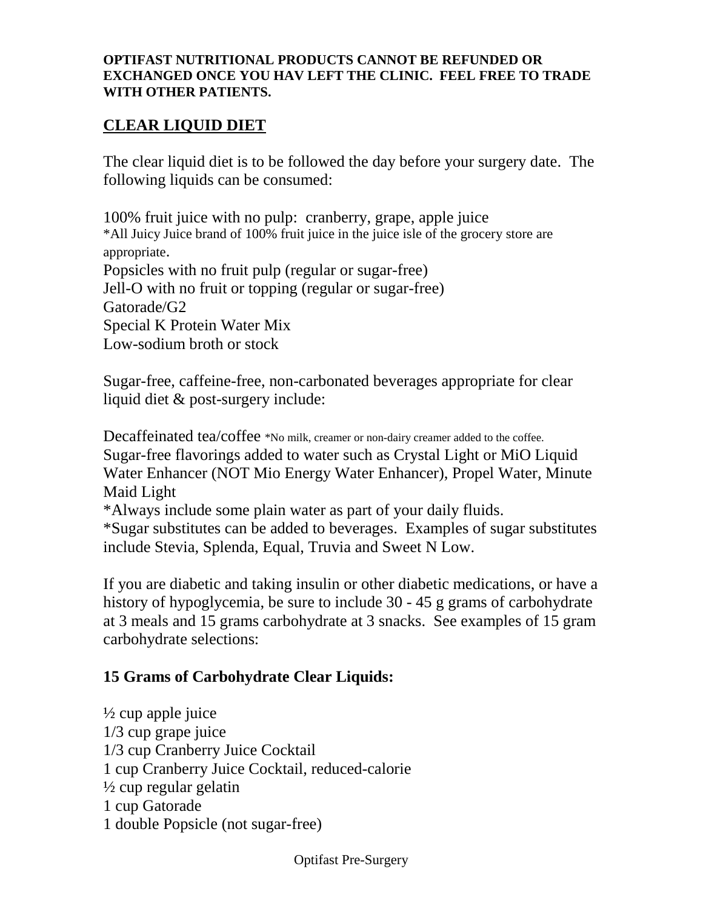### **OPTIFAST NUTRITIONAL PRODUCTS CANNOT BE REFUNDED OR EXCHANGED ONCE YOU HAV LEFT THE CLINIC. FEEL FREE TO TRADE WITH OTHER PATIENTS.**

# **CLEAR LIQUID DIET**

The clear liquid diet is to be followed the day before your surgery date. The following liquids can be consumed:

100% fruit juice with no pulp: cranberry, grape, apple juice \*All Juicy Juice brand of 100% fruit juice in the juice isle of the grocery store are appropriate. Popsicles with no fruit pulp (regular or sugar-free) Jell-O with no fruit or topping (regular or sugar-free) Gatorade/G2 Special K Protein Water Mix Low-sodium broth or stock

Sugar-free, caffeine-free, non-carbonated beverages appropriate for clear liquid diet & post-surgery include:

Decaffeinated tea/coffee \*No milk, creamer or non-dairy creamer added to the coffee. Sugar-free flavorings added to water such as Crystal Light or MiO Liquid Water Enhancer (NOT Mio Energy Water Enhancer), Propel Water, Minute Maid Light

\*Always include some plain water as part of your daily fluids.

\*Sugar substitutes can be added to beverages. Examples of sugar substitutes include Stevia, Splenda, Equal, Truvia and Sweet N Low.

If you are diabetic and taking insulin or other diabetic medications, or have a history of hypoglycemia, be sure to include 30 - 45 g grams of carbohydrate at 3 meals and 15 grams carbohydrate at 3 snacks. See examples of 15 gram carbohydrate selections:

# **15 Grams of Carbohydrate Clear Liquids:**

 $\frac{1}{2}$  cup apple juice 1/3 cup grape juice 1/3 cup Cranberry Juice Cocktail 1 cup Cranberry Juice Cocktail, reduced-calorie  $\frac{1}{2}$  cup regular gelatin 1 cup Gatorade 1 double Popsicle (not sugar-free)